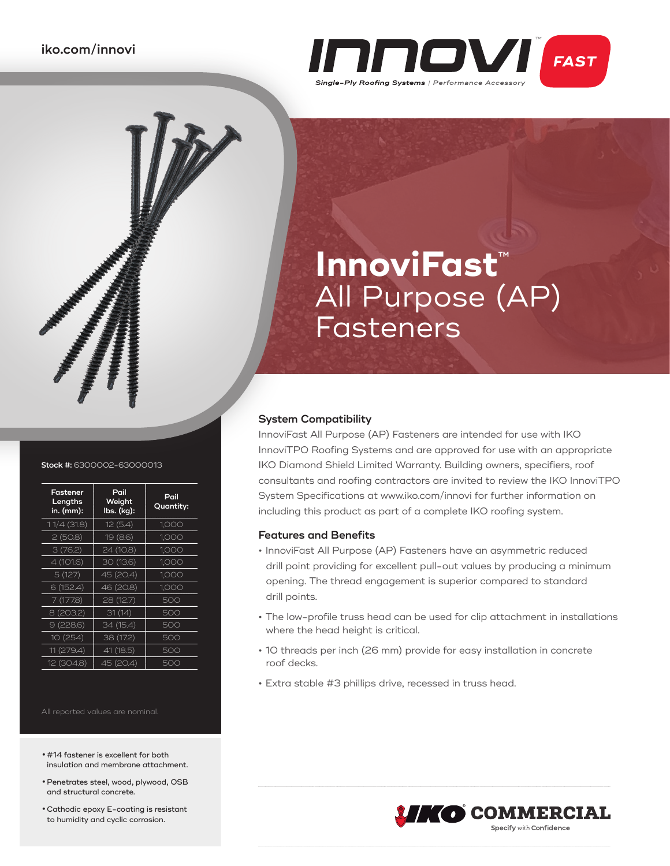

# **InnoviFast**™ All Purpose (AP) Fasteners

# **System Compatibility**

InnoviFast All Purpose (AP) Fasteners are intended for use with IKO InnoviTPO Roofing Systems and are approved for use with an appropriate IKO Diamond Shield Limited Warranty. Building owners, specifiers, roof consultants and roofing contractors are invited to review the IKO InnoviTPO System Specifications at www.iko.com/innovi for further information on including this product as part of a complete IKO roofing system.

# **Features and Benefits**

- **•** InnoviFast All Purpose (AP) Fasteners have an asymmetric reduced drill point providing for excellent pull-out values by producing a minimum opening. The thread engagement is superior compared to standard drill points.
- **•** The low-profile truss head can be used for clip attachment in installations where the head height is critical.
- **•** 10 threads per inch (26 mm) provide for easy installation in concrete roof decks.
- **•** Extra stable #3 phillips drive, recessed in truss head.

**O COMMERCIAL Specify with Confidence** 

#### **Stock #:** 6300002-63000013

| Fastener<br>Lengths<br>in. (mm): | Pail<br>Weight<br>lbs. (kg): | Pail<br>Quantity: |
|----------------------------------|------------------------------|-------------------|
| 11/4 (31.8)                      | 12(5.4)                      | 1,000             |
| 2(50.8)                          | 19 (8.6)                     | 1,000             |
| 3(76.2)                          | 24 (10.8)                    | 1,000             |
| 4 (101.6)                        | 30 (13.6)                    | 1,000             |
| 5(127)                           | 45 (20.4)                    | 1.000             |
| 6(152.4)                         | 46 (20.8)                    | 1,000             |
| 7 (177.8)                        | 28 (12.7)                    | 500               |
| 8 (203.2)                        | 31(14)                       | 500               |
| 9(228.6)                         | 34 (15.4)                    | 500               |
| 10(254)                          | 38 (17.2)                    | 500               |
| 11 (279.4)                       | 41 (18.5)                    | 500               |
| 12 (304.8)                       | 45 (20.4)                    | 500               |

All reported values are nominal.

- **•** #14 fastener is excellent for both insulation and membrane attachment.
- **•**Penetrates steel, wood, plywood, OSB and structural concrete.
- **•**Cathodic epoxy E-coating is resistant to humidity and cyclic corrosion.